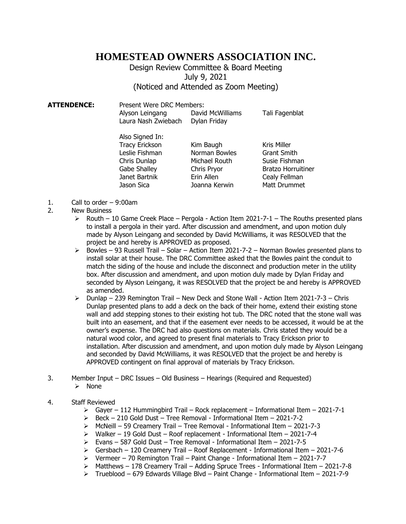## **HOMESTEAD OWNERS ASSOCIATION INC.**

Design Review Committee & Board Meeting July 9, 2021 (Noticed and Attended as Zoom Meeting)

**ATTENDENCE:** Present Were DRC Members: Alyson Leingang David McWilliams Tali Fagenblat Laura Nash Zwiebach Dylan Friday

> Also Signed In: Tracy Erickson Kim Baugh Kris Miller<br>
> Leslie Fishman Korman Bowles Grant Smit Chris Dunlap Michael Routh Susie Fishman Gabe Shalley **Chris Pryor** Bratzo Horruitiner Janet Bartnik Erin Allen Cealy Fellman Jason Sica **Joanna Kerwin** Matt Drummet

Norman Bowles Grant Smith

- 1. Call to order 9:00am
- 2. New Business
	- $\triangleright$  Routh 10 Game Creek Place Pergola Action Item 2021-7-1 The Rouths presented plans to install a pergola in their yard. After discussion and amendment, and upon motion duly made by Alyson Leingang and seconded by David McWilliams, it was RESOLVED that the project be and hereby is APPROVED as proposed.
	- $\triangleright$  Bowles 93 Russell Trail Solar Action Item 2021-7-2 Norman Bowles presented plans to install solar at their house. The DRC Committee asked that the Bowles paint the conduit to match the siding of the house and include the disconnect and production meter in the utility box. After discussion and amendment, and upon motion duly made by Dylan Friday and seconded by Alyson Leingang, it was RESOLVED that the project be and hereby is APPROVED as amended.
	- $\triangleright$  Dunlap 239 Remington Trail New Deck and Stone Wall Action Item 2021-7-3 Chris Dunlap presented plans to add a deck on the back of their home, extend their existing stone wall and add stepping stones to their existing hot tub. The DRC noted that the stone wall was built into an easement, and that if the easement ever needs to be accessed, it would be at the owner's expense. The DRC had also questions on materials. Chris stated they would be a natural wood color, and agreed to present final materials to Tracy Erickson prior to installation. After discussion and amendment, and upon motion duly made by Alyson Leingang and seconded by David McWilliams, it was RESOLVED that the project be and hereby is APPROVED contingent on final approval of materials by Tracy Erickson.
- 3. Member Input DRC Issues Old Business Hearings (Required and Requested) ➢ None
- 4. Staff Reviewed
	- $\triangleright$  Gayer 112 Hummingbird Trail Rock replacement Informational Item 2021-7-1
	- $\geq$  Beck 210 Gold Dust Tree Removal Informational Item 2021-7-2
	- ➢ McNeill 59 Creamery Trail Tree Removal Informational Item 2021-7-3
	- ➢ Walker 19 Gold Dust Roof replacement Informational Item 2021-7-4
	- ➢ Evans 587 Gold Dust Tree Removal Informational Item 2021-7-5
	- $\triangleright$  Gersbach 120 Creamery Trail Roof Replacement Informational Item 2021-7-6
	- ➢ Vermeer 70 Remington Trail Paint Change Informational Item 2021-7-7
	- $\triangleright$  Matthews 178 Creamery Trail Adding Spruce Trees Informational Item 2021-7-8
	- ➢ Trueblood 679 Edwards Village Blvd Paint Change Informational Item 2021-7-9